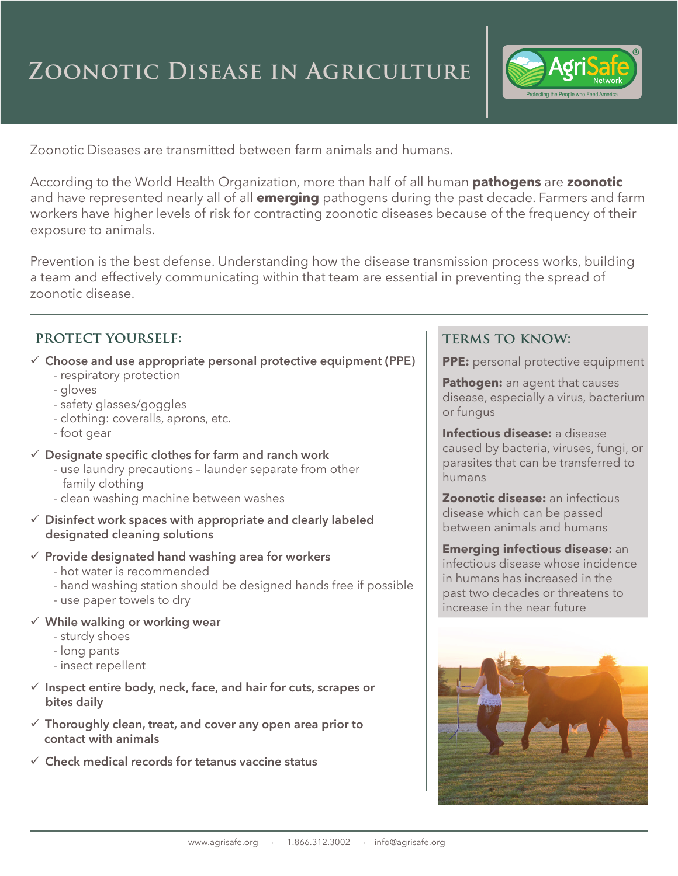# **Zoonotic Disease in Agriculture**



Zoonotic Diseases are transmitted between farm animals and humans.

According to the World Health Organization, more than half of all human **pathogens** are **zoonotic** and have represented nearly all of all **emerging** pathogens during the past decade. Farmers and farm workers have higher levels of risk for contracting zoonotic diseases because of the frequency of their exposure to animals.

Prevention is the best defense. Understanding how the disease transmission process works, building a team and effectively communicating within that team are essential in preventing the spread of zoonotic disease.

#### **protect yourself:**

 $\checkmark$  Choose and use appropriate personal protective equipment (PPE)

- respiratory protection
- gloves
- safety glasses/goggles
- clothing: coveralls, aprons, etc.
- foot gear
- 9 **Designate specific clothes for farm and ranch work**
	- use laundry precautions launder separate from other family clothing
	- clean washing machine between washes
- 9 **Disinfect work spaces with appropriate and clearly labeled designated cleaning solutions**
- 9 **Provide designated hand washing area for workers**
	- hot water is recommended
	- hand washing station should be designed hands free if possible
	- use paper towels to dry
- 9 **While walking or working wear**
	- sturdy shoes
	- long pants
	- insect repellent
- 9 **Inspect entire body, neck, face, and hair for cuts, scrapes or bites daily**
- 9 **Thoroughly clean, treat, and cover any open area prior to contact with animals**
- 9 **Check medical records for tetanus vaccine status**

#### **terms to know:**

**PPE:** personal protective equipment

**Pathogen:** an agent that causes disease, especially a virus, bacterium or fungus

**Infectious disease:** a disease caused by bacteria, viruses, fungi, or parasites that can be transferred to humans

**Zoonotic disease:** an infectious disease which can be passed between animals and humans

**Emerging infectious disease:** an infectious disease whose incidence in humans has increased in the past two decades or threatens to increase in the near future

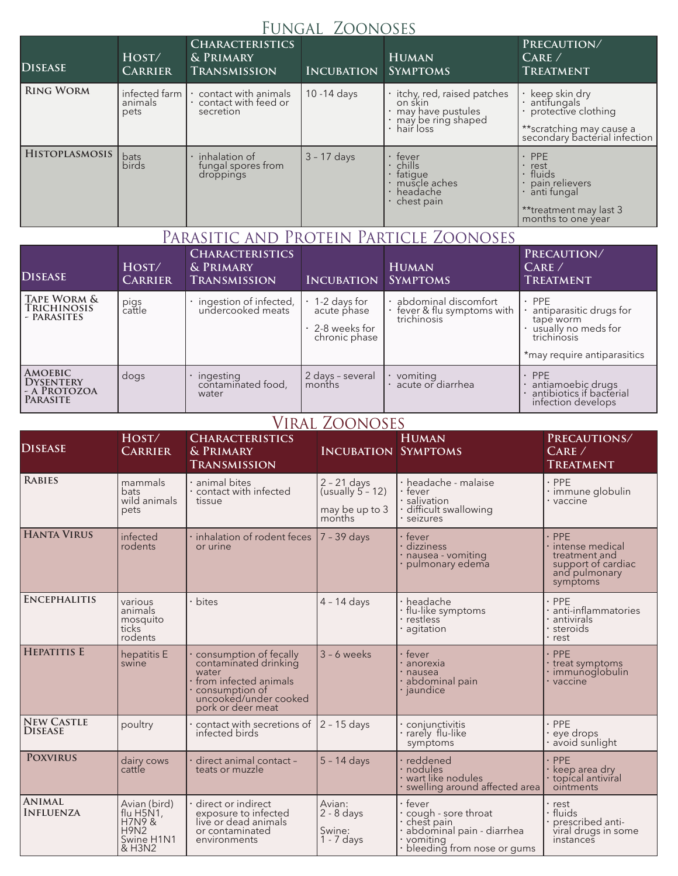### Fungal Zoonoses

| <b>DISEASE</b>        | HOST/<br><b>CARRIER</b>          | <b>CHARACTERISTICS</b><br>& PRIMARY<br>TRANSMISSION       | <b>INCUBATION</b> | <b>HUMAN</b><br><b>SYMPTOMS</b>                                                                             | PRECAUTION/<br>CARE/<br><b>TREATMENT</b>                                                                             |
|-----------------------|----------------------------------|-----------------------------------------------------------|-------------------|-------------------------------------------------------------------------------------------------------------|----------------------------------------------------------------------------------------------------------------------|
| <b>RING WORM</b>      | infected farm<br>animals<br>pets | contact with animals<br>contact with feed or<br>secretion | $10 - 14$ days    | · itchy, red, raised patches<br>on skin<br>· may have pustules<br>· may be ring shaped<br>$\cdot$ hair loss | • keep skin dry<br>• antifungals<br>protective clothing<br>**scratching may cause a<br>secondary bacterial infection |
| <b>HISTOPLASMOSIS</b> | bats<br>birds                    | $\cdot$ inhalation of<br>fungal spores from<br>droppings  | $3 - 17$ days     | $\cdot$ fever<br>chills<br>fatigue<br>· muscle aches<br>$\cdot$ headache<br>$\cdot$ chest pain              | $·$ PPE<br>· rest<br>· fluids<br>pain relievers<br>anti fungal<br>**treatment may last 3<br>months to one year       |

## Parasitic and Protein Particle Zoonoses

| <b>DISEASE</b>                                                 | HOST/<br><b>CARRIER</b> | <b>CHARACTERISTICS</b><br>& PRIMARY<br>TRANSMISSION | <b>INCUBATION</b>                                                             | <b>HUMAN</b><br><b>SYMPTOMS</b>                                    | PRECAUTION/<br>CARE/<br><b>TREATMENT</b>                                                                                   |
|----------------------------------------------------------------|-------------------------|-----------------------------------------------------|-------------------------------------------------------------------------------|--------------------------------------------------------------------|----------------------------------------------------------------------------------------------------------------------------|
| TAPE WORM &<br>TRICHINOSIS<br>- PARASITES                      | pigs<br>cattle          | ingestion of infected,<br>undercooked meats         | $\cdot$ 1-2 days for<br>acute phase<br>$\cdot$ 2-8 weeks for<br>chronic phase | · abdominal discomfort<br>fever & flu symptoms with<br>trichinosis | $\cdot$ PPE<br>antiparasitic drugs for<br>tape worm<br>· usually no meds for<br>trichinosis<br>*may require antiparasitics |
| <b>AMOEBIC</b><br><b>DYSENTERY</b><br>- A PROTOZOA<br>PARASITE | dogs                    | ingesting<br>contaminated food,<br>water            | 2 days - several<br>months                                                    | • vomiting<br>• acute or diarrhea                                  | PPE<br>antiamoebic drugs<br>antibiotics if bacterial<br>infection develops                                                 |

#### Viral Zoonoses

| <b>DISEASE</b>                      | HOST/<br><b>CARRIER</b>                                                   | <b>CHARACTERISTICS</b><br>& PRIMARY<br><b>TRANSMISSION</b>                                                                                        | <b>INCUBATION SYMPTOMS</b>                                       | <b>HUMAN</b>                                                                                                            | PRECAUTIONS/<br>CARE/<br><b>TREATMENT</b>                                                        |
|-------------------------------------|---------------------------------------------------------------------------|---------------------------------------------------------------------------------------------------------------------------------------------------|------------------------------------------------------------------|-------------------------------------------------------------------------------------------------------------------------|--------------------------------------------------------------------------------------------------|
| <b>RABIES</b>                       | mammals<br><b>bats</b><br>wild animals<br>pets                            | animal bites<br>contact with infected<br>tissue                                                                                                   | $2 - 21$ days<br>(usually $5 - 12$ )<br>may be up to 3<br>months | · headache - malaise<br>$\cdot$ fever<br>· salivation<br>· difficult swallowing<br>· seizures                           | $·$ PPE<br>· immune globulin<br>$\cdot$ vaccine                                                  |
| <b>HANTA VIRUS</b>                  | infected<br>rodents                                                       | inhalation of rodent feces<br>or urine                                                                                                            | $7 - 39$ days                                                    | · fever<br>· dizziness<br>· nausea - vomiting<br>pulmonary edema                                                        | $·$ PPE<br>· intense medical<br>treatment and<br>support of cardiac<br>and pulmonary<br>symptoms |
| <b>ENCEPHALITIS</b>                 | various<br>animals<br>mosquito<br>ticks<br>rodents                        | bites                                                                                                                                             | $4 - 14$ days                                                    | · headache<br>$\cdot$ flu-like symptoms<br>· restless<br>agitation                                                      | PPE<br>anti-inflammatories<br>antivirals<br>steroids<br>rest                                     |
| <b>HEPATITIS E</b>                  | hepatitis E<br>swine                                                      | consumption of fecally<br>contaminated drinking<br>water<br>from infected animals<br>consumption of<br>uncooked/under cooked<br>pork or deer meat | $3 - 6$ weeks                                                    | · fever<br>· anorexia<br>· nausea<br>abdominal pain<br>jaundice                                                         | $·$ PPE<br>treat symptoms<br>immunoglobulin<br>vaccine                                           |
| <b>NEW CASTLE</b><br><b>DISEASE</b> | poultry                                                                   | contact with secretions of $\vert$ 2 - 15 days<br>infected birds                                                                                  |                                                                  | conjunctivitis<br>· rarely flu-like<br>symptoms                                                                         | $·$ PPE<br>eye drops<br>avoid sunlight                                                           |
| <b>POXVIRUS</b>                     | dairy cows<br>cattle                                                      | direct animal contact -<br>teats or muzzle                                                                                                        | $5 - 14$ days                                                    | · reddened<br>· nodules<br>· wart like nodules<br>swelling around affected area                                         | <b>PPE</b><br>keep area dry<br>topical antiviral<br>ointments                                    |
| <b>ANIMAL</b><br><b>INFLUENZA</b>   | Avian (bird)<br>flu H5N1,<br>H7N98<br><b>H9N2</b><br>Swine H1N1<br>& H3N2 | direct or indirect<br>exposure to infected<br>live or dead animals<br>or contaminated<br>environments                                             | Avian:<br>$2 - 8$ days<br>Swine:<br>$1 - 7$ days                 | • fever<br>· cough - sore throat<br>chest pain<br>abdominal pain - diarrhea<br>· vomiting<br>bleeding from nose or gums | rest<br>· fluids<br>prescribed anti-<br>viral drugs in some<br>instances                         |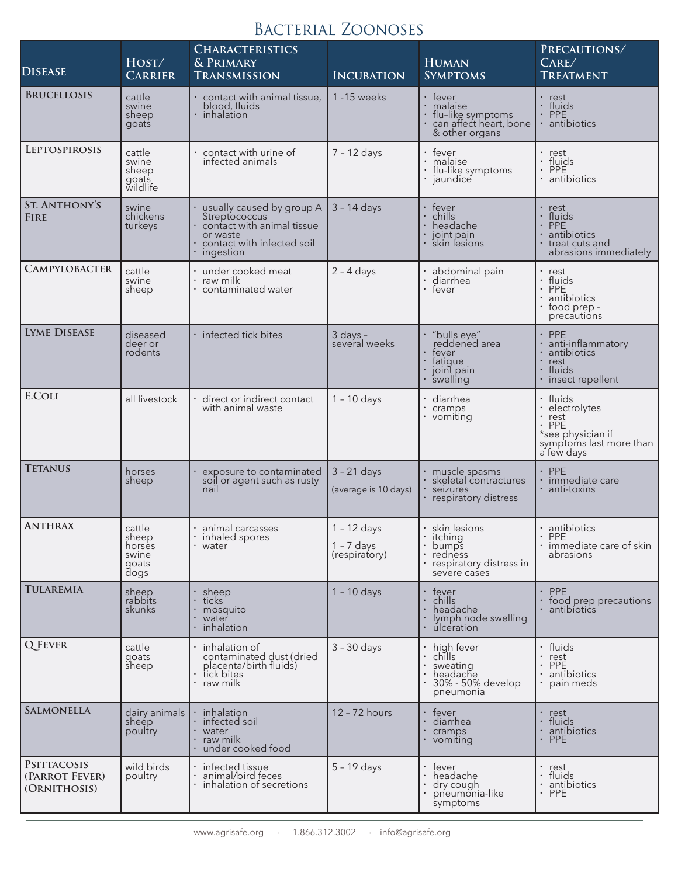# Bacterial Zoonoses

| <b>DISEASE</b>                                       | HOST/<br><b>CARRIER</b>                             | <b>CHARACTERISTICS</b><br>& PRIMARY<br><b>TRANSMISSION</b>                                                                      | <b>INCUBATION</b>                              | <b>HUMAN</b><br><b>SYMPTOMS</b>                                                                | PRECAUTIONS/<br>CARE/<br><b>TREATMENT</b>                                                                    |
|------------------------------------------------------|-----------------------------------------------------|---------------------------------------------------------------------------------------------------------------------------------|------------------------------------------------|------------------------------------------------------------------------------------------------|--------------------------------------------------------------------------------------------------------------|
| <b>BRUCELLOSIS</b>                                   | cattle<br>swine<br>sheep<br>goats                   | · contact with animal tissue,<br>blood, fluids<br>inhalation                                                                    | 1 - 15 weeks                                   | · fever<br>malaise<br>flu-like symptoms<br>can affect heart, bone<br>& other organs            | · rest<br>· fluids<br>$·$ PPE<br>· antibiotics                                                               |
| <b>LEPTOSPIROSIS</b>                                 | cattle<br>swine<br>sheep<br>goats<br>wildlife       | contact with urine of<br>infected animals                                                                                       | $7 - 12$ days                                  | fever<br>$\bullet$<br>malaise<br>· flu-like symptoms<br>jaundice                               | rest<br>fluids<br>$\cdot$ PPE<br>antibiotics                                                                 |
| <b>ST. ANTHONY'S</b><br><b>FIRE</b>                  | swine<br>chickens<br>turkeys                        | usually caused by group A<br>Streptococcus<br>contact with animal tissue<br>or waste<br>contact with infected soil<br>ingestion | $3 - 14$ days                                  | fever<br>chills<br>headache<br>joint pain<br>skin lesions                                      | • rest<br>fluids<br>PPE<br>antibiotics<br>treat cuts and<br>abrasions immediately                            |
| <b>CAMPYLOBACTER</b>                                 | cattle<br>swine<br>sheep                            | under cooked meat<br>raw milk<br>contaminated water                                                                             | $2 - 4$ days                                   | abdominal pain<br>diarrhea<br>· fever                                                          | rest<br>fluids<br>PPE<br>antibiotics<br>food prep -<br>precautions                                           |
| <b>LYME DISEASE</b>                                  | diseased<br>deer or<br>rodents                      | · infected tick bites                                                                                                           | $3$ days $-$<br>several weeks                  | "bulls eye"<br>reddened area<br>fever<br>fatique<br>joint pain<br>swelling                     | $·$ PPE<br>anti-inflammatory<br>antibiotics<br>rest<br>fluids<br>insect repellent                            |
| <b>E.COLI</b>                                        | all livestock                                       | direct or indirect contact<br>with animal waste                                                                                 | $1 - 10$ days                                  | diarrhea<br>cramps<br>vomiting                                                                 | • fluids<br>electrolytes<br>rest<br><b>PPE</b><br>*see physician if<br>symptoms last more than<br>a few days |
| <b>TETANUS</b>                                       | horses<br>sheep                                     | exposure to contaminated<br>soil or agent such as rusty<br>nail                                                                 | $3 - 21$ days<br>(average is 10 days)          | muscle spasms<br>skeletal contractures<br>seizures<br>respiratory distress                     | <b>PPE</b><br>immediate care<br>anti-toxins                                                                  |
| <b>ANTHRAX</b>                                       | cattle<br>sheep<br>horses<br>swine<br>goats<br>dogs | animal carcasses<br>inhaled spores<br>• water                                                                                   | $1 - 12$ days<br>$1 - 7$ days<br>(respiratory) | $\cdot$ skin lesions<br>itching<br>bumps<br>redness<br>respiratory distress in<br>severe cases | · antibiotics<br><b>PPE</b><br>· immediate care of skin<br>abrasions                                         |
| <b>TULAREMIA</b>                                     | sheep<br>rabbits<br>skunks                          | sheep<br>ticks<br>mosquito<br>water<br>inhalation                                                                               | $1 - 10$ days                                  | fever<br>chills<br>headache<br>lymph node swelling<br>ulceration                               | <b>PPE</b><br>food prep precautions<br>antibiotics                                                           |
| <b>Q</b> FEVER                                       | cattle<br>goats<br>sheep                            | $\cdot$ inhalation of<br>contaminated dust (dried<br>placenta/birth fluids)<br>tick bites<br>raw milk                           | $3 - 30$ days                                  | $\cdot$ high fever<br>chills<br>sweating<br>headache<br>30% - 50% develop<br>pneumonia         | · fluids<br>rest<br>PPE<br>antibiotics<br>pain meds                                                          |
| <b>SALMONELLA</b>                                    | dairy animals<br>sheep<br>poultry                   | inhalation<br>infected soil<br>water<br>raw milk<br>under cooked food                                                           | 12 - 72 hours                                  | fever<br>diarrhea<br>cramps<br>• vomiting                                                      | rest<br>fluids<br>antibiotics<br><b>PPE</b>                                                                  |
| <b>PSITTACOSIS</b><br>(PARROT FEVER)<br>(ORNITHOSIS) | wild birds<br>poultry                               | · infected tissue<br>animal/bird feces<br>inhalation of secretions                                                              | $5 - 19$ days                                  | $\bullet$<br>tever<br>headache<br>dry cough<br>pneumonia-like<br>symptoms                      | • rest<br>fluids<br>antibiotics<br>PPE                                                                       |